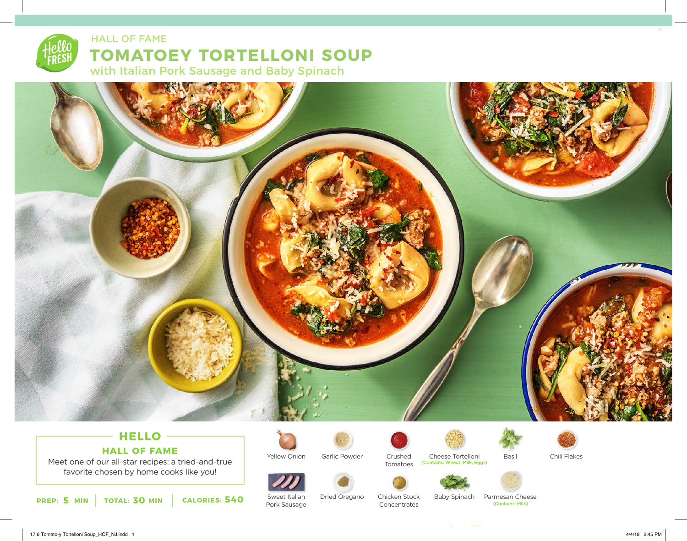# **TOMATOEY TORTELLONI SOUP** with Italian Pork Sausage and Baby Spinach HALL OF FAME



# **HELLO HALL OF FAME**

Meet one of our all-star recipes: a tried-and-true favorite chosen by home cooks like you!

**5 30 540 PREP: MIN TOTAL: MIN CALORIES:**



Sweet Italian Pork Sausage

Garlic Powder

Dried Oregano



Chicken Stock Concentrates

Crushed Cheese Tortelloni Basil Chili Flakes Tomatoes (Contains: Wheat, Milk, Eggs)







Baby Spinach Parmesan Cheese

(Contains: Milk)